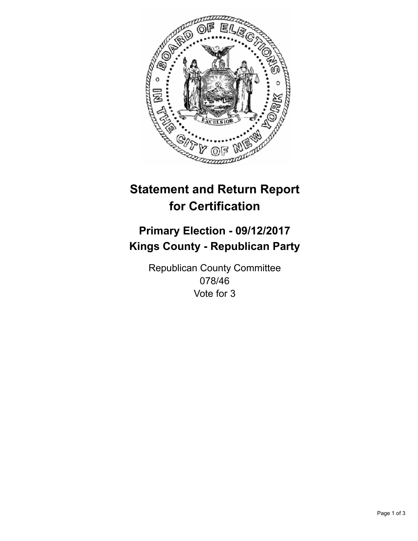

## **Statement and Return Report for Certification**

## **Primary Election - 09/12/2017 Kings County - Republican Party**

Republican County Committee 078/46 Vote for 3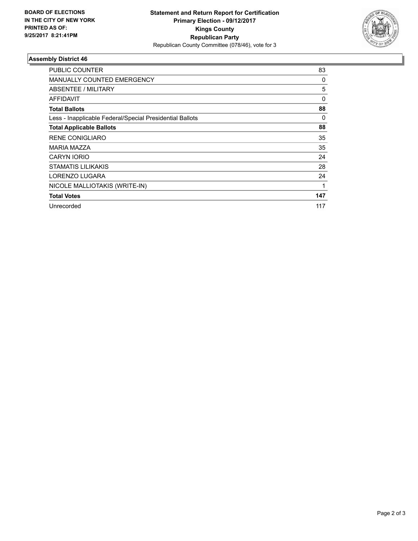

## **Assembly District 46**

| <b>PUBLIC COUNTER</b>                                    | 83       |
|----------------------------------------------------------|----------|
| <b>MANUALLY COUNTED EMERGENCY</b>                        | 0        |
| ABSENTEE / MILITARY                                      | 5        |
| AFFIDAVIT                                                | $\Omega$ |
| <b>Total Ballots</b>                                     | 88       |
| Less - Inapplicable Federal/Special Presidential Ballots | 0        |
| <b>Total Applicable Ballots</b>                          | 88       |
| <b>RENE CONIGLIARO</b>                                   | 35       |
| <b>MARIA MAZZA</b>                                       | 35       |
| <b>CARYN IORIO</b>                                       | 24       |
| <b>STAMATIS LILIKAKIS</b>                                | 28       |
| LORENZO LUGARA                                           | 24       |
| NICOLE MALLIOTAKIS (WRITE-IN)                            | 1        |
| <b>Total Votes</b>                                       | 147      |
| Unrecorded                                               | 117      |